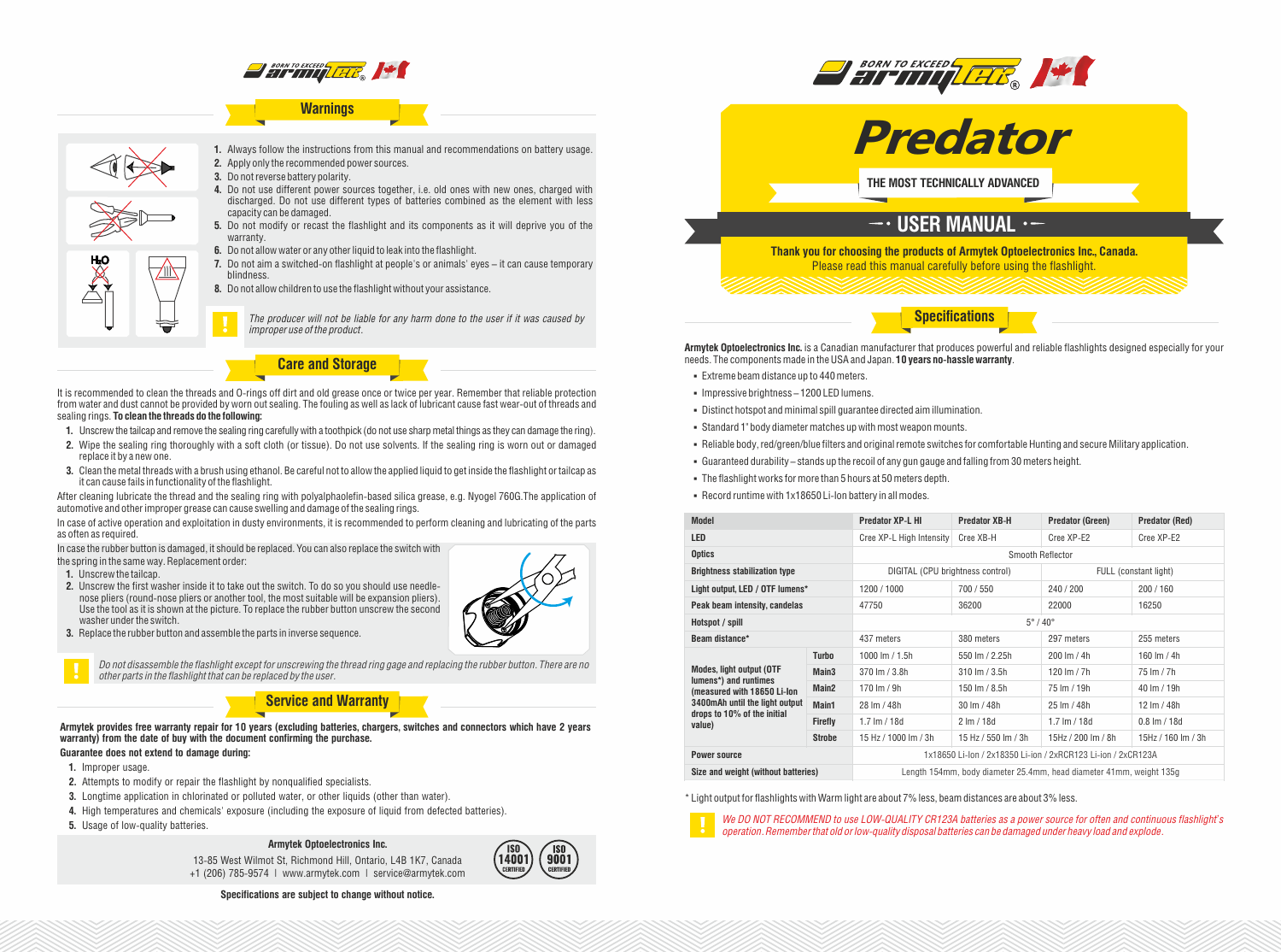

## **Warnings**



**1.** Always follow the instructions from this manual and recommendations on battery usage. **2.** Apply only the recommended power sources.

- **3.** Do not reverse battery polarity.
- **4.** Do not use different power sources together, i.e. old ones with new ones, charged with discharged. Do not use different types of batteries combined as the element with less capacity can be damaged.
- **5.** Do not modify or recast the flashlight and its components as it will deprive you of the warranty.
- **6.** Do not allow water or any other liquid to leak into the flashlight.
- **7.** Do not aim a switched-on flashlight at people's or animals' eyes it can cause temporary blindness.
- **8.** Do not allow children to use the flashlight without your assistance.

*The producer will not be liable for any harm done to the user if it was caused by improper use of the product.*

**Care and Storage**

It is recommended to clean the threads and O-rings off dirt and old grease once or twice per year. Remember that reliable protection from water and dust cannot be provided by worn out sealing. The fouling as well as lack of lubricant cause fast wear-out of threads and sealing rings. **To clean the threads do the following:**

- **1.** Unscrew the tailcap and remove the sealing ring carefully with a toothpick (do not use sharp metal things as they can damage the ring).
- **2.** Wipe the sealing ring thoroughly with a soft cloth (or tissue). Do not use solvents. If the sealing ring is worn out or damaged replace it by a new one.
- **3.** Clean the metal threads with a brush using ethanol. Be careful not to allow the applied liquid to get inside the flashlight or tailcap as it can cause fails in functionality of the flashlight.

After cleaning lubricate the thread and the sealing ring with polyalphaolefin-based silica grease, e.g. Nyogel 760G.The application of automotive and other improper grease can cause swelling and damage of the sealing rings.

In case of active operation and exploitation in dusty environments, it is recommended to perform cleaning and lubricating of the parts as often as required.

In case the rubber button is damaged, it should be replaced. You can also replace the switch with

the spring in the same way. Replacement order:

- **1.** Unscrew the tailcap.
- **2.** Unscrew the first washer inside it to take out the switch. To do so you should use needlenose pliers (round-nose pliers or another tool, the most suitable will be expansion pliers). Use the tool as it is shown at the picture. To replace the rubber button unscrew the second washer under the switch.
- **3.** Replace the rubber button and assemble the parts in inverse sequence.



*Do not disassemble the flashlight except for unscrewing the thread ring gage and replacing the rubber button. There are no other parts in the flashlight that can be replaced by the user.*

## **Service and Warranty**

**Armytek provides free warranty repair for 10 years (excluding batteries, chargers, switches and connectors which have 2 years warranty) from the date of buy with the document confirming the purchase.**

## **Guarantee does not extend to damage during:**

- **1.** Improper usage.
- **2.** Attempts to modify or repair the flashlight by nonqualified specialists.
- **3.** Longtime application in chlorinated or polluted water, or other liquids (other than water).
- **4.** High temperatures and chemicals' exposure (including the exposure of liquid from defected batteries).
- **5.** Usage of low-quality batteries.

### **Armytek Optoelectronics Inc.**

13-85 West Wilmot St, Richmond Hill, Ontario, L4B 1K7, Canada +1 (206) 785-9574 | www.armytek.com | service@armytek.com



**Specifications are subject to change without notice.**





**THE MOST TECHNICALLY ADVANCED**

# $-$ · USER MANUAL ·-

**Thank you for choosing the products of Armytek Optoelectronics Inc., Canada.** Please read this manual carefully before using the flashlight.

**Specifications**

**Armytek Optoelectronics Inc.** is a Canadian manufacturer that produces powerful and reliable flashlights designed especially for your needs. The components made in the USA and Japan. **10 years no-hassle warranty**.

- § Extreme beam distance up to 440meters.
- § Impressive brightness 1200 LED lumens.
- § Distinct hotspot and minimal spill guarantee directed aim illumination.
- § Standard 1" body diameter matches up with most weapon mounts.
- § Reliable body, red/green/blue filters and original remote switches for comfortable Hunting and secure Military application.
- § Guaranteed durability stands up the recoil of any gun gauge and falling from 30 meters height.
- The flashlight works for more than 5 hours at 50 meters depth.

§ Record runtime with 1x18650 Li-Ion battery in all modes.

| <b>Model</b>                                                                                                                                                       |                   | <b>Predator XP-L HI</b>                                             | <b>Predator XB-H</b>      | <b>Predator (Green)</b>  | <b>Predator (Red)</b>    |
|--------------------------------------------------------------------------------------------------------------------------------------------------------------------|-------------------|---------------------------------------------------------------------|---------------------------|--------------------------|--------------------------|
| <b>LED</b>                                                                                                                                                         |                   | Cree XP-L High Intensity                                            | Cree XB-H                 | Cree XP-E2               | Cree XP-E2               |
| <b>Optics</b>                                                                                                                                                      |                   | Smooth Reflector                                                    |                           |                          |                          |
| <b>Brightness stabilization type</b>                                                                                                                               |                   | DIGITAL (CPU brightness control)                                    |                           | FULL (constant light)    |                          |
| Light output, LED / OTF lumens*                                                                                                                                    |                   | 1200 / 1000                                                         | 700 / 550                 | 240 / 200                | 200/160                  |
| Peak beam intensity, candelas                                                                                                                                      |                   | 47750                                                               | 36200                     | 22000                    | 16250                    |
| Hotspot / spill                                                                                                                                                    |                   | $5^\circ/40^\circ$                                                  |                           |                          |                          |
| Beam distance*                                                                                                                                                     |                   | 437 meters                                                          | 380 meters                | 297 meters               | 255 meters               |
| <b>Modes, light output (OTF</b><br>lumens*) and runtimes<br>(measured with 18650 Li-Ion<br>3400mAh until the light output<br>drops to 10% of the initial<br>value) | <b>Turbo</b>      | 1000 lm / 1.5h                                                      | 550 lm / 2.25h            | 200 lm / 4h              | 160 lm / 4h              |
|                                                                                                                                                                    | Main <sub>3</sub> | $370 \, \text{Im} / 3.8h$                                           | $310 \, \text{Im} / 3.5h$ | 120 lm $/ 7h$            | 75 lm / 7h               |
|                                                                                                                                                                    | Main <sub>2</sub> | 170 lm / 9h                                                         | 150 lm / $8.5h$           | 75 lm / 19h              | 40 lm / 19h              |
|                                                                                                                                                                    | Main1             | 28 Im / 48h                                                         | 30 lm / 48h               | 25 lm / 48h              | 12 lm / 48h              |
|                                                                                                                                                                    | <b>Firefly</b>    | $1.7 \text{ Im} / 18d$                                              | $2 \, \text{Im} / 18d$    | $1.7 \, \text{Im} / 18d$ | $0.8 \, \text{Im} / 18d$ |
|                                                                                                                                                                    | <b>Strobe</b>     | 15 Hz / 1000 lm / 3h                                                | 15 Hz / 550 lm / 3h       | 15Hz / 200 lm / 8h       | 15Hz / 160 lm / 3h       |
| <b>Power source</b>                                                                                                                                                |                   | 1x18650 Li-lon / 2x18350 Li-ion / 2xRCR123 Li-ion / 2xCR123A        |                           |                          |                          |
| Size and weight (without batteries)                                                                                                                                |                   | Length 154mm, body diameter 25.4mm, head diameter 41mm, weight 135g |                           |                          |                          |

\* Light output for flashlights with Warm light are about 7% less, beam distances are about 3% less.



*We DO NOT RECOMMEND to use LOW-QUALITY CR123A batteries as a power source for often and continuous flashlight's operation. Remember that old or low-quality disposal batteries can be damaged under heavy load and explode.*